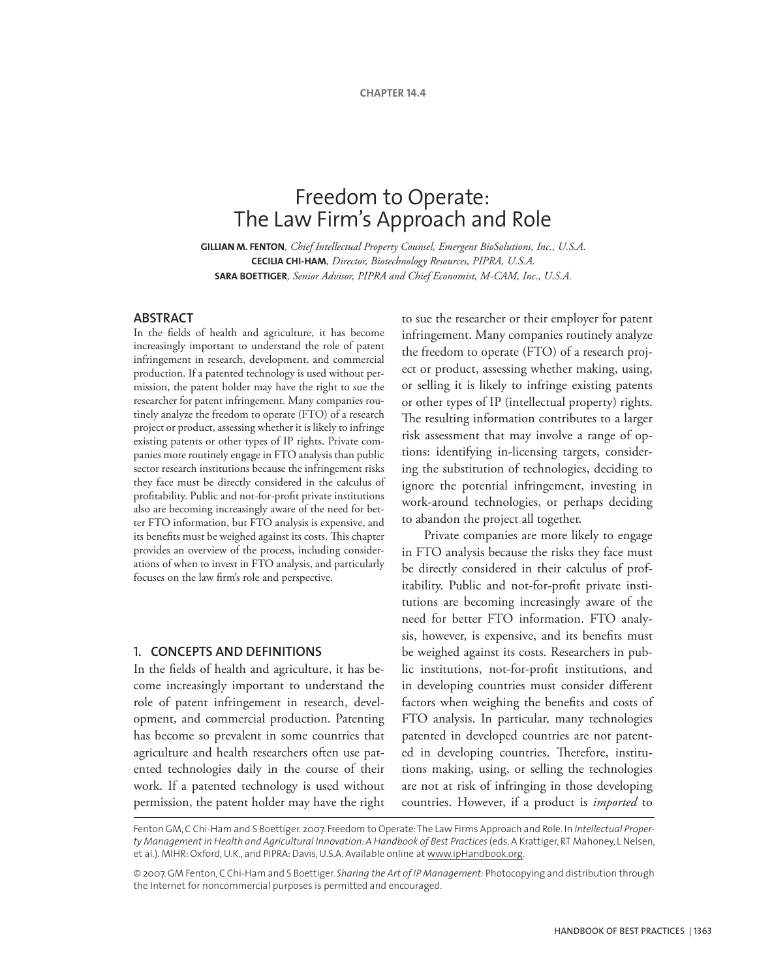# Freedom to Operate: The Law Firm's Approach and Role

**GILLIAN M. FENTON***, Chief Intellectual Property Counsel, Emergent BioSolutions, Inc., U.S.A.* **CECILIA CHI-HAM***, Director, Biotechnology Resources, PIPRA, U.S.A.* **SARA BOETTIGER***, Senior Advisor, PIPRA and Chief Economist, M-CAM, Inc., U.S.A.*

## **ABSTRACT**

In the fields of health and agriculture, it has become increasingly important to understand the role of patent infringement in research, development, and commercial production. If a patented technology is used without permission, the patent holder may have the right to sue the researcher for patent infringement. Many companies routinely analyze the freedom to operate (FTO) of a research project or product, assessing whether it is likely to infringe existing patents or other types of IP rights. Private companies more routinely engage in FTO analysis than public sector research institutions because the infringement risks they face must be directly considered in the calculus of profitability. Public and not-for-profit private institutions also are becoming increasingly aware of the need for better FTO information, but FTO analysis is expensive, and its benefits must be weighed against its costs. This chapter provides an overview of the process, including considerations of when to invest in FTO analysis, and particularly focuses on the law firm's role and perspective.

#### 1**. Concepts and definitions**

In the fields of health and agriculture, it has become increasingly important to understand the role of patent infringement in research, development, and commercial production. Patenting has become so prevalent in some countries that agriculture and health researchers often use patented technologies daily in the course of their work. If a patented technology is used without permission, the patent holder may have the right to sue the researcher or their employer for patent infringement. Many companies routinely analyze the freedom to operate (FTO) of a research project or product, assessing whether making, using, or selling it is likely to infringe existing patents or other types of IP (intellectual property) rights. The resulting information contributes to a larger risk assessment that may involve a range of options: identifying in-licensing targets, considering the substitution of technologies, deciding to ignore the potential infringement, investing in work-around technologies, or perhaps deciding to abandon the project all together.

Private companies are more likely to engage in FTO analysis because the risks they face must be directly considered in their calculus of profitability. Public and not-for-profit private institutions are becoming increasingly aware of the need for better FTO information. FTO analysis, however, is expensive, and its benefits must be weighed against its costs. Researchers in public institutions, not-for-profit institutions, and in developing countries must consider different factors when weighing the benefits and costs of FTO analysis. In particular, many technologies patented in developed countries are not patented in developing countries. Therefore, institutions making, using, or selling the technologies are not at risk of infringing in those developing countries. However, if a product is *imported* to

Fenton GM, C Chi-Ham and S Boettiger. 2007. Freedom to Operate: The Law Firms Approach and Role. In *Intellectual Proper*ty Management in Health and Agricultural Innovation: A Handbook of Best Practices (eds. A Krattiger, RT Mahoney, L Nelsen, et al.). MIHR: Oxford, U.K., and PIPRA: Davis, U.S.A. Available online at www.ipHandbook.org.

<sup>© 2007.</sup> GM Fenton, C Chi-Ham and S Boettiger. *Sharing the Art of IP Management:* Photocopying and distribution through the Internet for noncommercial purposes is permitted and encouraged.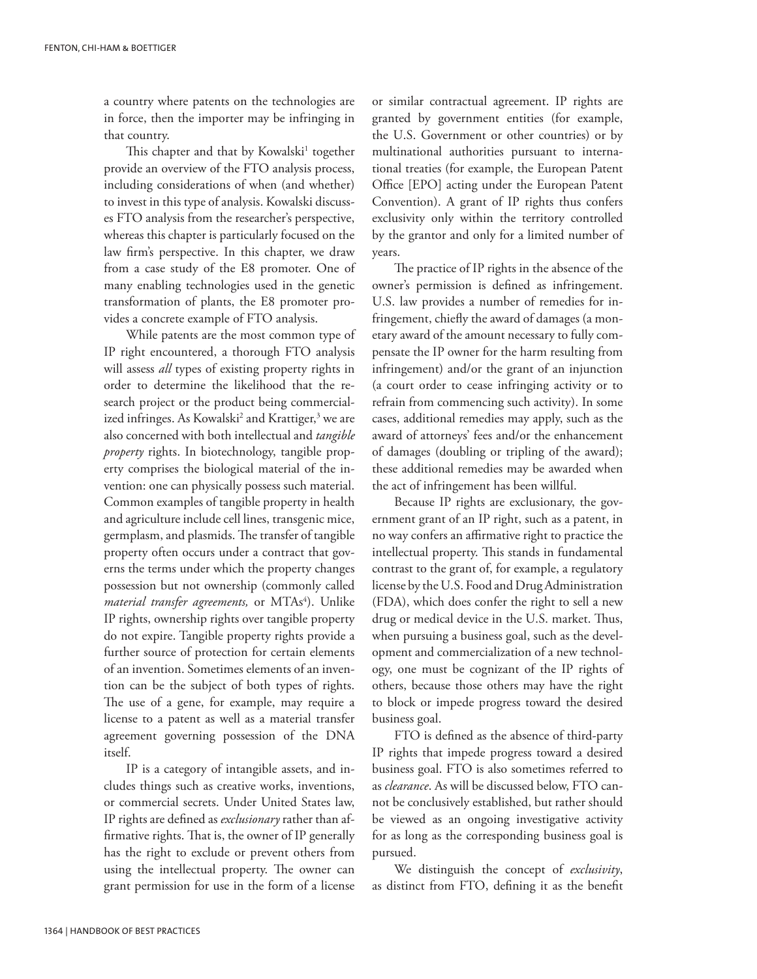a country where patents on the technologies are in force, then the importer may be infringing in that country.

This chapter and that by Kowalski<sup>1</sup> together provide an overview of the FTO analysis process, including considerations of when (and whether) to invest in this type of analysis. Kowalski discusses FTO analysis from the researcher's perspective, whereas this chapter is particularly focused on the law firm's perspective. In this chapter, we draw from a case study of the E8 promoter. One of many enabling technologies used in the genetic transformation of plants, the E8 promoter provides a concrete example of FTO analysis.

While patents are the most common type of IP right encountered, a thorough FTO analysis will assess *all* types of existing property rights in order to determine the likelihood that the research project or the product being commercialized infringes. As Kowalski<sup>2</sup> and Krattiger,<sup>3</sup> we are also concerned with both intellectual and *tangible property* rights. In biotechnology, tangible property comprises the biological material of the invention: one can physically possess such material. Common examples of tangible property in health and agriculture include cell lines, transgenic mice, germplasm, and plasmids. The transfer of tangible property often occurs under a contract that governs the terms under which the property changes possession but not ownership (commonly called *material transfer agreements,* or MTAs<sup>4</sup>). Unlike IP rights, ownership rights over tangible property do not expire. Tangible property rights provide a further source of protection for certain elements of an invention. Sometimes elements of an invention can be the subject of both types of rights. The use of a gene, for example, may require a license to a patent as well as a material transfer agreement governing possession of the DNA itself.

IP is a category of intangible assets, and includes things such as creative works, inventions, or commercial secrets. Under United States law, IP rights are defined as *exclusionary* rather than affirmative rights. That is, the owner of IP generally has the right to exclude or prevent others from using the intellectual property. The owner can grant permission for use in the form of a license or similar contractual agreement. IP rights are granted by government entities (for example, the U.S. Government or other countries) or by multinational authorities pursuant to international treaties (for example, the European Patent Office [EPO] acting under the European Patent Convention). A grant of IP rights thus confers exclusivity only within the territory controlled by the grantor and only for a limited number of years.

The practice of IP rights in the absence of the owner's permission is defined as infringement. U.S. law provides a number of remedies for infringement, chiefly the award of damages (a monetary award of the amount necessary to fully compensate the IP owner for the harm resulting from infringement) and/or the grant of an injunction (a court order to cease infringing activity or to refrain from commencing such activity). In some cases, additional remedies may apply, such as the award of attorneys' fees and/or the enhancement of damages (doubling or tripling of the award); these additional remedies may be awarded when the act of infringement has been willful.

Because IP rights are exclusionary, the government grant of an IP right, such as a patent, in no way confers an affirmative right to practice the intellectual property. This stands in fundamental contrast to the grant of, for example, a regulatory license by the U.S. Food and Drug Administration (FDA), which does confer the right to sell a new drug or medical device in the U.S. market. Thus, when pursuing a business goal, such as the development and commercialization of a new technology, one must be cognizant of the IP rights of others, because those others may have the right to block or impede progress toward the desired business goal.

FTO is defined as the absence of third-party IP rights that impede progress toward a desired business goal. FTO is also sometimes referred to as *clearance*. As will be discussed below, FTO cannot be conclusively established, but rather should be viewed as an ongoing investigative activity for as long as the corresponding business goal is pursued.

We distinguish the concept of *exclusivity*, as distinct from FTO, defining it as the benefit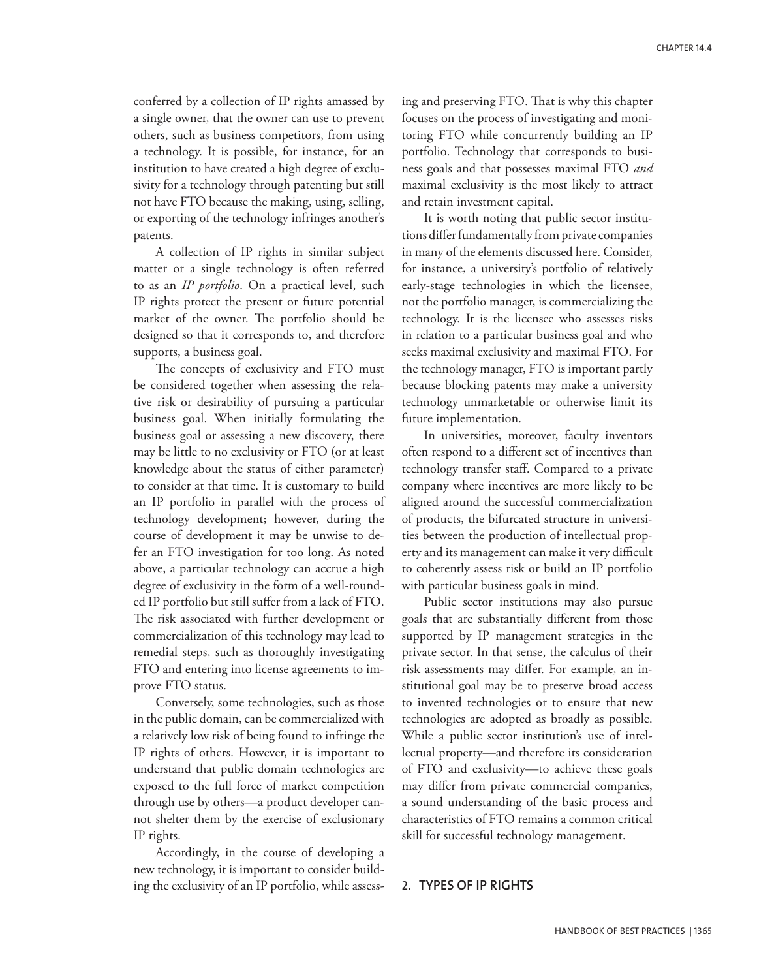conferred by a collection of IP rights amassed by a single owner, that the owner can use to prevent others, such as business competitors, from using a technology. It is possible, for instance, for an institution to have created a high degree of exclusivity for a technology through patenting but still not have FTO because the making, using, selling, or exporting of the technology infringes another's patents.

A collection of IP rights in similar subject matter or a single technology is often referred to as an *IP portfolio*. On a practical level, such IP rights protect the present or future potential market of the owner. The portfolio should be designed so that it corresponds to, and therefore supports, a business goal.

The concepts of exclusivity and FTO must be considered together when assessing the relative risk or desirability of pursuing a particular business goal. When initially formulating the business goal or assessing a new discovery, there may be little to no exclusivity or FTO (or at least knowledge about the status of either parameter) to consider at that time. It is customary to build an IP portfolio in parallel with the process of technology development; however, during the course of development it may be unwise to defer an FTO investigation for too long. As noted above, a particular technology can accrue a high degree of exclusivity in the form of a well-rounded IP portfolio but still suffer from a lack of FTO. The risk associated with further development or commercialization of this technology may lead to remedial steps, such as thoroughly investigating FTO and entering into license agreements to improve FTO status.

Conversely, some technologies, such as those in the public domain, can be commercialized with a relatively low risk of being found to infringe the IP rights of others. However, it is important to understand that public domain technologies are exposed to the full force of market competition through use by others—a product developer cannot shelter them by the exercise of exclusionary IP rights.

Accordingly, in the course of developing a new technology, it is important to consider building the exclusivity of an IP portfolio, while assessing and preserving FTO. That is why this chapter focuses on the process of investigating and monitoring FTO while concurrently building an IP portfolio. Technology that corresponds to business goals and that possesses maximal FTO *and* maximal exclusivity is the most likely to attract and retain investment capital.

It is worth noting that public sector institutions differ fundamentally from private companies in many of the elements discussed here. Consider, for instance, a university's portfolio of relatively early-stage technologies in which the licensee, not the portfolio manager, is commercializing the technology. It is the licensee who assesses risks in relation to a particular business goal and who seeks maximal exclusivity and maximal FTO. For the technology manager, FTO is important partly because blocking patents may make a university technology unmarketable or otherwise limit its future implementation.

In universities, moreover, faculty inventors often respond to a different set of incentives than technology transfer staff. Compared to a private company where incentives are more likely to be aligned around the successful commercialization of products, the bifurcated structure in universities between the production of intellectual property and its management can make it very difficult to coherently assess risk or build an IP portfolio with particular business goals in mind.

Public sector institutions may also pursue goals that are substantially different from those supported by IP management strategies in the private sector. In that sense, the calculus of their risk assessments may differ. For example, an institutional goal may be to preserve broad access to invented technologies or to ensure that new technologies are adopted as broadly as possible. While a public sector institution's use of intellectual property—and therefore its consideration of FTO and exclusivity—to achieve these goals may differ from private commercial companies, a sound understanding of the basic process and characteristics of FTO remains a common critical skill for successful technology management.

## 2**. Types of IP rights**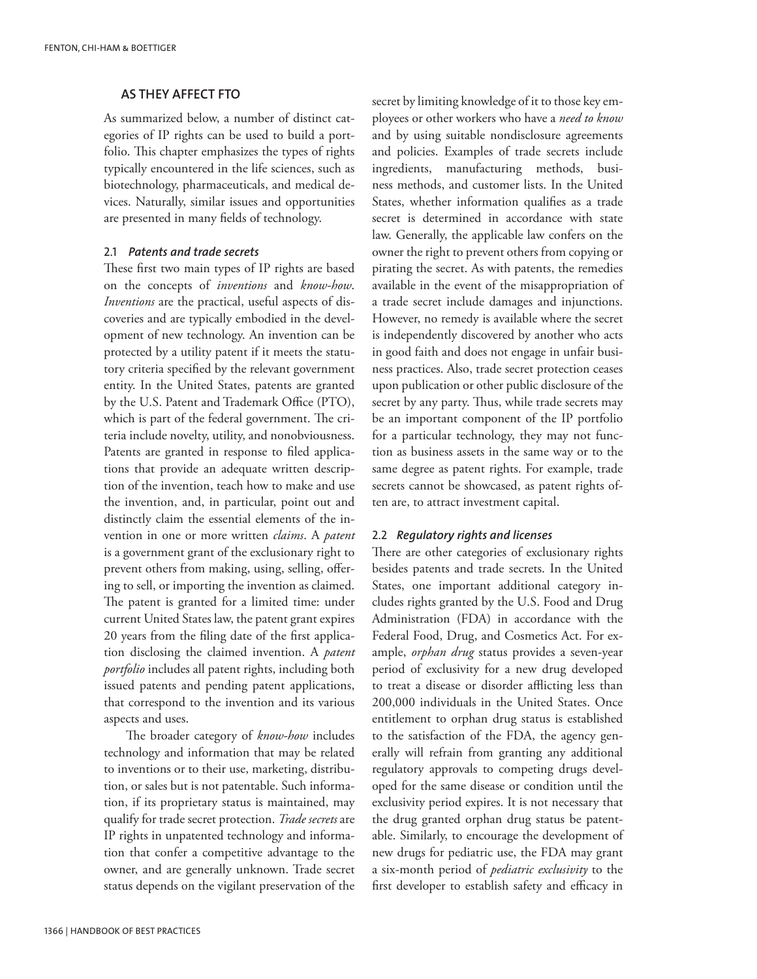## **as they affect FTO**

As summarized below, a number of distinct categories of IP rights can be used to build a portfolio. This chapter emphasizes the types of rights typically encountered in the life sciences, such as biotechnology, pharmaceuticals, and medical devices. Naturally, similar issues and opportunities are presented in many fields of technology.

## 2.1 *Patents and trade secrets*

These first two main types of IP rights are based on the concepts of *inventions* and *know-how*. *Inventions* are the practical, useful aspects of discoveries and are typically embodied in the development of new technology. An invention can be protected by a utility patent if it meets the statutory criteria specified by the relevant government entity. In the United States, patents are granted by the U.S. Patent and Trademark Office (PTO), which is part of the federal government. The criteria include novelty, utility, and nonobviousness. Patents are granted in response to filed applications that provide an adequate written description of the invention, teach how to make and use the invention, and, in particular, point out and distinctly claim the essential elements of the invention in one or more written *claims*. A *patent* is a government grant of the exclusionary right to prevent others from making, using, selling, offering to sell, or importing the invention as claimed. The patent is granted for a limited time: under current United States law, the patent grant expires 20 years from the filing date of the first application disclosing the claimed invention. A *patent portfolio* includes all patent rights, including both issued patents and pending patent applications, that correspond to the invention and its various aspects and uses.

The broader category of *know-how* includes technology and information that may be related to inventions or to their use, marketing, distribution, or sales but is not patentable. Such information, if its proprietary status is maintained, may qualify for trade secret protection. *Trade secrets* are IP rights in unpatented technology and information that confer a competitive advantage to the owner, and are generally unknown. Trade secret status depends on the vigilant preservation of the secret by limiting knowledge of it to those key employees or other workers who have a *need to know* and by using suitable nondisclosure agreements and policies. Examples of trade secrets include ingredients, manufacturing methods, business methods, and customer lists. In the United States, whether information qualifies as a trade secret is determined in accordance with state law. Generally, the applicable law confers on the owner the right to prevent others from copying or pirating the secret. As with patents, the remedies available in the event of the misappropriation of a trade secret include damages and injunctions. However, no remedy is available where the secret is independently discovered by another who acts in good faith and does not engage in unfair business practices. Also, trade secret protection ceases upon publication or other public disclosure of the secret by any party. Thus, while trade secrets may be an important component of the IP portfolio for a particular technology, they may not function as business assets in the same way or to the same degree as patent rights. For example, trade secrets cannot be showcased, as patent rights often are, to attract investment capital.

#### 2.2 *Regulatory rights and licenses*

There are other categories of exclusionary rights besides patents and trade secrets. In the United States, one important additional category includes rights granted by the U.S. Food and Drug Administration (FDA) in accordance with the Federal Food, Drug, and Cosmetics Act. For example, *orphan drug* status provides a seven-year period of exclusivity for a new drug developed to treat a disease or disorder afflicting less than 200,000 individuals in the United States. Once entitlement to orphan drug status is established to the satisfaction of the FDA, the agency generally will refrain from granting any additional regulatory approvals to competing drugs developed for the same disease or condition until the exclusivity period expires. It is not necessary that the drug granted orphan drug status be patentable. Similarly, to encourage the development of new drugs for pediatric use, the FDA may grant a six-month period of *pediatric exclusivity* to the first developer to establish safety and efficacy in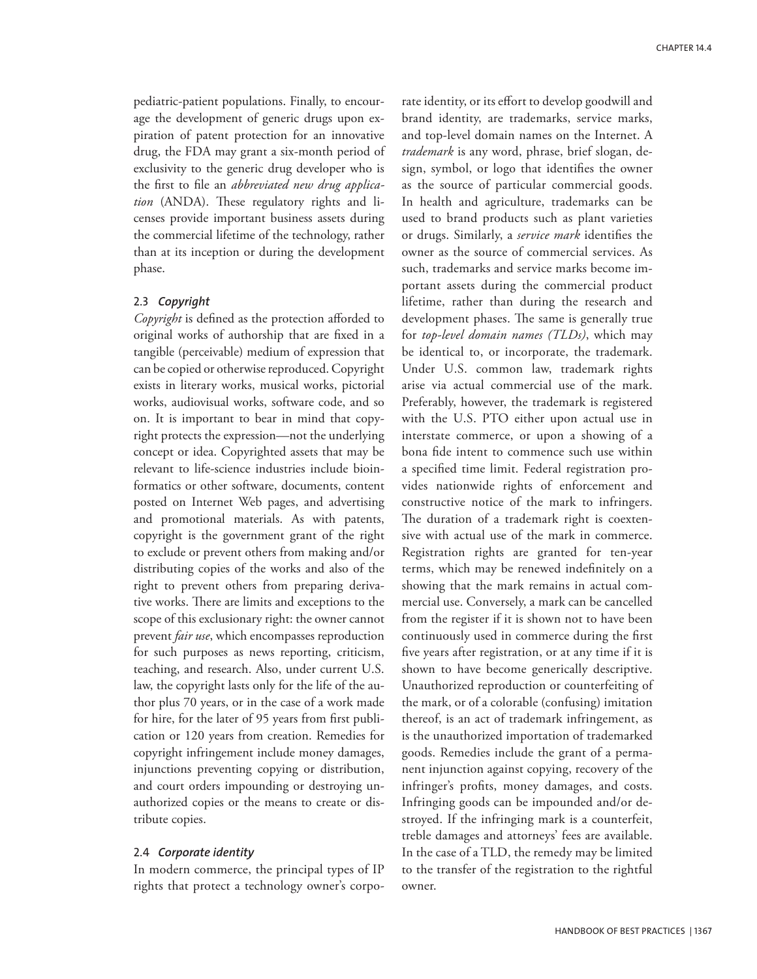pediatric-patient populations. Finally, to encourage the development of generic drugs upon expiration of patent protection for an innovative drug, the FDA may grant a six-month period of exclusivity to the generic drug developer who is the first to file an *abbreviated new drug application* (ANDA). These regulatory rights and licenses provide important business assets during the commercial lifetime of the technology, rather than at its inception or during the development phase.

### 2.3 *Copyright*

*Copyright* is defined as the protection afforded to original works of authorship that are fixed in a tangible (perceivable) medium of expression that can be copied or otherwise reproduced. Copyright exists in literary works, musical works, pictorial works, audiovisual works, software code, and so on. It is important to bear in mind that copyright protects the expression—not the underlying concept or idea. Copyrighted assets that may be relevant to life-science industries include bioinformatics or other software, documents, content posted on Internet Web pages, and advertising and promotional materials. As with patents, copyright is the government grant of the right to exclude or prevent others from making and/or distributing copies of the works and also of the right to prevent others from preparing derivative works. There are limits and exceptions to the scope of this exclusionary right: the owner cannot prevent *fair use*, which encompasses reproduction for such purposes as news reporting, criticism, teaching, and research. Also, under current U.S. law, the copyright lasts only for the life of the author plus 70 years, or in the case of a work made for hire, for the later of 95 years from first publication or 120 years from creation. Remedies for copyright infringement include money damages, injunctions preventing copying or distribution, and court orders impounding or destroying unauthorized copies or the means to create or distribute copies.

#### 2.4 *Corporate identity*

In modern commerce, the principal types of IP rights that protect a technology owner's corporate identity, or its effort to develop goodwill and brand identity, are trademarks, service marks, and top-level domain names on the Internet. A *trademark* is any word, phrase, brief slogan, design, symbol, or logo that identifies the owner as the source of particular commercial goods. In health and agriculture, trademarks can be used to brand products such as plant varieties or drugs. Similarly, a *service mark* identifies the owner as the source of commercial services. As such, trademarks and service marks become important assets during the commercial product lifetime, rather than during the research and development phases. The same is generally true for *top-level domain names (TLDs)*, which may be identical to, or incorporate, the trademark. Under U.S. common law, trademark rights arise via actual commercial use of the mark. Preferably, however, the trademark is registered with the U.S. PTO either upon actual use in interstate commerce, or upon a showing of a bona fide intent to commence such use within a specified time limit. Federal registration provides nationwide rights of enforcement and constructive notice of the mark to infringers. The duration of a trademark right is coextensive with actual use of the mark in commerce. Registration rights are granted for ten-year terms, which may be renewed indefinitely on a showing that the mark remains in actual commercial use. Conversely, a mark can be cancelled from the register if it is shown not to have been continuously used in commerce during the first five years after registration, or at any time if it is shown to have become generically descriptive. Unauthorized reproduction or counterfeiting of the mark, or of a colorable (confusing) imitation thereof, is an act of trademark infringement, as is the unauthorized importation of trademarked goods. Remedies include the grant of a permanent injunction against copying, recovery of the infringer's profits, money damages, and costs. Infringing goods can be impounded and/or destroyed. If the infringing mark is a counterfeit, treble damages and attorneys' fees are available. In the case of a TLD, the remedy may be limited to the transfer of the registration to the rightful owner.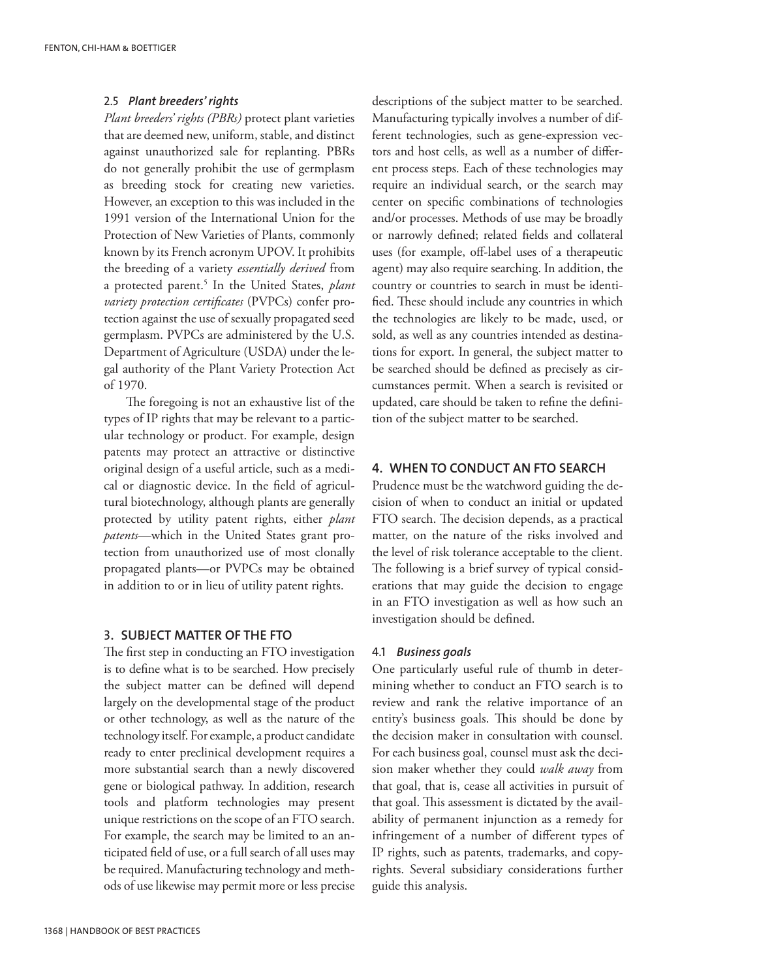## 2.5 *Plant breeders' rights*

*Plant breeders' rights (PBRs)* protect plant varieties that are deemed new, uniform, stable, and distinct against unauthorized sale for replanting. PBRs do not generally prohibit the use of germplasm as breeding stock for creating new varieties. However, an exception to this was included in the 1991 version of the International Union for the Protection of New Varieties of Plants, commonly known by its French acronym UPOV. It prohibits the breeding of a variety *essentially derived* from a protected parent.5 In the United States, *plant variety protection certificates* (PVPCs) confer protection against the use of sexually propagated seed germplasm. PVPCs are administered by the U.S. Department of Agriculture (USDA) under the legal authority of the Plant Variety Protection Act of 1970.

The foregoing is not an exhaustive list of the types of IP rights that may be relevant to a particular technology or product. For example, design patents may protect an attractive or distinctive original design of a useful article, such as a medical or diagnostic device. In the field of agricultural biotechnology, although plants are generally protected by utility patent rights, either *plant patents*—which in the United States grant protection from unauthorized use of most clonally propagated plants—or PVPCs may be obtained in addition to or in lieu of utility patent rights.

## 3**. Subject matter of the FTO**

The first step in conducting an FTO investigation is to define what is to be searched. How precisely the subject matter can be defined will depend largely on the developmental stage of the product or other technology, as well as the nature of the technology itself. For example, a product candidate ready to enter preclinical development requires a more substantial search than a newly discovered gene or biological pathway. In addition, research tools and platform technologies may present unique restrictions on the scope of an FTO search. For example, the search may be limited to an anticipated field of use, or a full search of all uses may be required. Manufacturing technology and methods of use likewise may permit more or less precise descriptions of the subject matter to be searched. Manufacturing typically involves a number of different technologies, such as gene-expression vectors and host cells, as well as a number of different process steps. Each of these technologies may require an individual search, or the search may center on specific combinations of technologies and/or processes. Methods of use may be broadly or narrowly defined; related fields and collateral uses (for example, off-label uses of a therapeutic agent) may also require searching. In addition, the country or countries to search in must be identified. These should include any countries in which the technologies are likely to be made, used, or sold, as well as any countries intended as destinations for export. In general, the subject matter to be searched should be defined as precisely as circumstances permit. When a search is revisited or updated, care should be taken to refine the definition of the subject matter to be searched.

# **4. When to conduct an FTO search**

Prudence must be the watchword guiding the decision of when to conduct an initial or updated FTO search. The decision depends, as a practical matter, on the nature of the risks involved and the level of risk tolerance acceptable to the client. The following is a brief survey of typical considerations that may guide the decision to engage in an FTO investigation as well as how such an investigation should be defined.

#### 4.1 *Business goals*

One particularly useful rule of thumb in determining whether to conduct an FTO search is to review and rank the relative importance of an entity's business goals. This should be done by the decision maker in consultation with counsel. For each business goal, counsel must ask the decision maker whether they could *walk away* from that goal, that is, cease all activities in pursuit of that goal. This assessment is dictated by the availability of permanent injunction as a remedy for infringement of a number of different types of IP rights, such as patents, trademarks, and copyrights. Several subsidiary considerations further guide this analysis.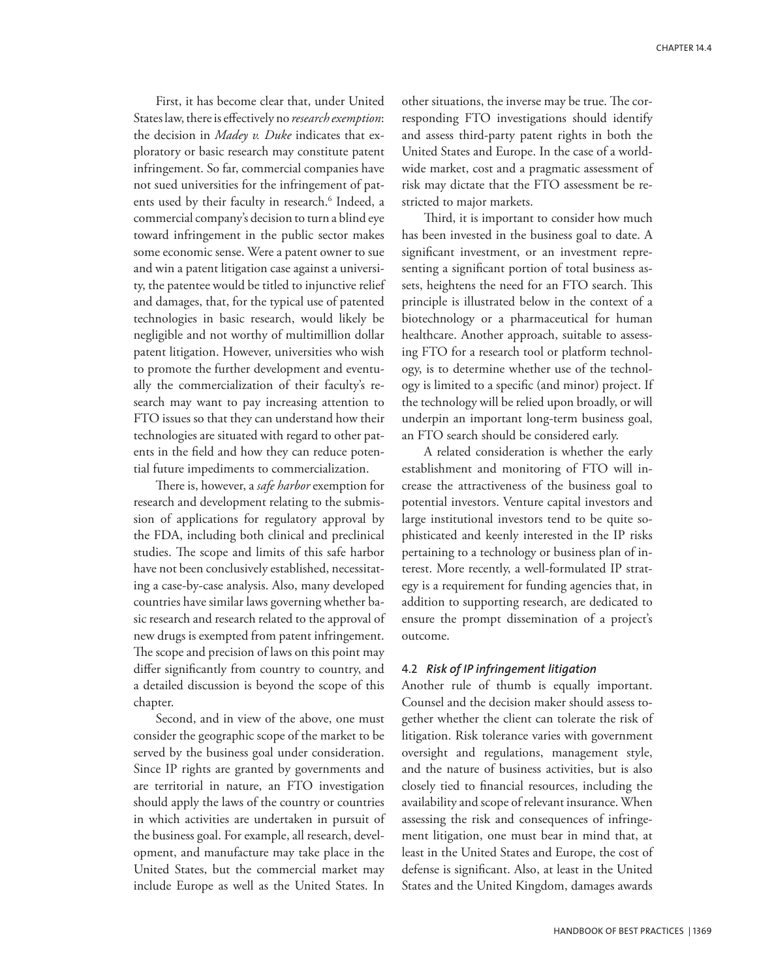First, it has become clear that, under United States law, there is effectively no *research exemption*: the decision in *Madey v. Duke* indicates that exploratory or basic research may constitute patent infringement. So far, commercial companies have not sued universities for the infringement of patents used by their faculty in research.<sup>6</sup> Indeed, a commercial company's decision to turn a blind eye toward infringement in the public sector makes some economic sense. Were a patent owner to sue and win a patent litigation case against a university, the patentee would be titled to injunctive relief and damages, that, for the typical use of patented technologies in basic research, would likely be negligible and not worthy of multimillion dollar patent litigation. However, universities who wish to promote the further development and eventually the commercialization of their faculty's research may want to pay increasing attention to FTO issues so that they can understand how their technologies are situated with regard to other patents in the field and how they can reduce potential future impediments to commercialization.

There is, however, a *safe harbor* exemption for research and development relating to the submission of applications for regulatory approval by the FDA, including both clinical and preclinical studies. The scope and limits of this safe harbor have not been conclusively established, necessitating a case-by-case analysis. Also, many developed countries have similar laws governing whether basic research and research related to the approval of new drugs is exempted from patent infringement. The scope and precision of laws on this point may differ significantly from country to country, and a detailed discussion is beyond the scope of this chapter.

Second, and in view of the above, one must consider the geographic scope of the market to be served by the business goal under consideration. Since IP rights are granted by governments and are territorial in nature, an FTO investigation should apply the laws of the country or countries in which activities are undertaken in pursuit of the business goal. For example, all research, development, and manufacture may take place in the United States, but the commercial market may include Europe as well as the United States. In

other situations, the inverse may be true. The corresponding FTO investigations should identify and assess third-party patent rights in both the United States and Europe. In the case of a worldwide market, cost and a pragmatic assessment of risk may dictate that the FTO assessment be restricted to major markets.

Third, it is important to consider how much has been invested in the business goal to date. A significant investment, or an investment representing a significant portion of total business assets, heightens the need for an FTO search. This principle is illustrated below in the context of a biotechnology or a pharmaceutical for human healthcare. Another approach, suitable to assessing FTO for a research tool or platform technology, is to determine whether use of the technology is limited to a specific (and minor) project. If the technology will be relied upon broadly, or will underpin an important long-term business goal, an FTO search should be considered early.

A related consideration is whether the early establishment and monitoring of FTO will increase the attractiveness of the business goal to potential investors. Venture capital investors and large institutional investors tend to be quite sophisticated and keenly interested in the IP risks pertaining to a technology or business plan of interest. More recently, a well-formulated IP strategy is a requirement for funding agencies that, in addition to supporting research, are dedicated to ensure the prompt dissemination of a project's outcome.

## 4.2 *Risk of IP infringement litigation*

Another rule of thumb is equally important. Counsel and the decision maker should assess together whether the client can tolerate the risk of litigation. Risk tolerance varies with government oversight and regulations, management style, and the nature of business activities, but is also closely tied to financial resources, including the availability and scope of relevant insurance. When assessing the risk and consequences of infringement litigation, one must bear in mind that, at least in the United States and Europe, the cost of defense is significant. Also, at least in the United States and the United Kingdom, damages awards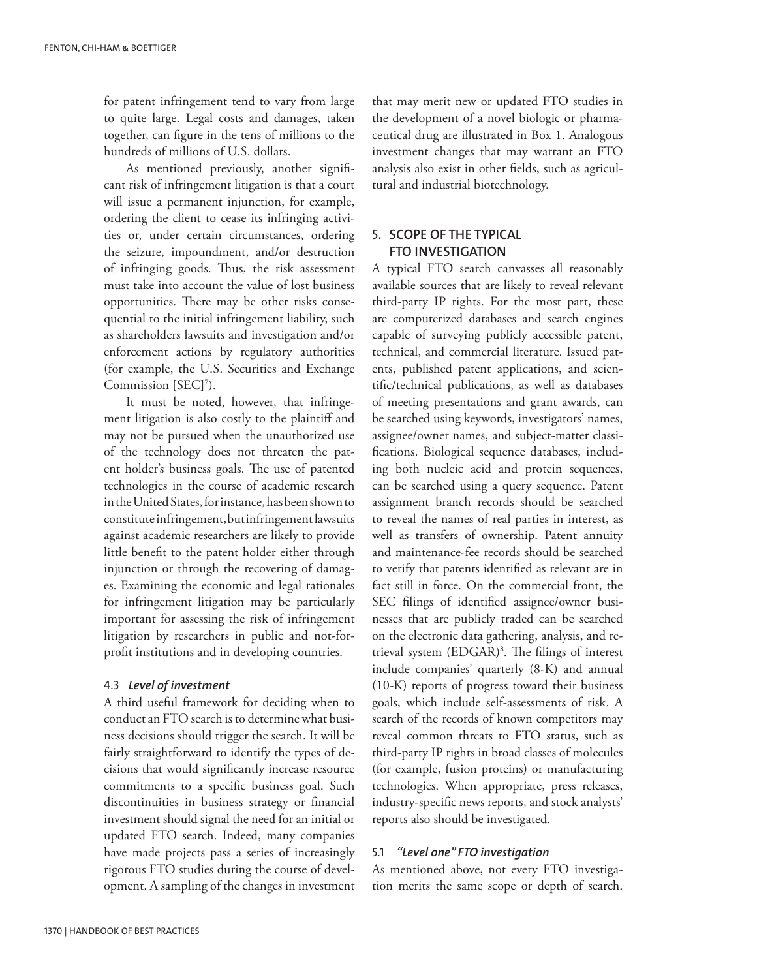for patent infringement tend to vary from large to quite large. Legal costs and damages, taken together, can figure in the tens of millions to the hundreds of millions of U.S. dollars.

As mentioned previously, another significant risk of infringement litigation is that a court will issue a permanent injunction, for example, ordering the client to cease its infringing activities or, under certain circumstances, ordering the seizure, impoundment, and/or destruction of infringing goods. Thus, the risk assessment must take into account the value of lost business opportunities. There may be other risks consequential to the initial infringement liability, such as shareholders lawsuits and investigation and/or enforcement actions by regulatory authorities (for example, the U.S. Securities and Exchange Commission [SEC]<sup>7</sup>).

It must be noted, however, that infringement litigation is also costly to the plaintiff and may not be pursued when the unauthorized use of the technology does not threaten the patent holder's business goals. The use of patented technologies in the course of academic research in the United States, for instance, has been shown to constitute infringement, but infringement lawsuits against academic researchers are likely to provide little benefit to the patent holder either through injunction or through the recovering of damages. Examining the economic and legal rationales for infringement litigation may be particularly important for assessing the risk of infringement litigation by researchers in public and not-forprofit institutions and in developing countries.

#### 4.3 *Level of investment*

A third useful framework for deciding when to conduct an FTO search is to determine what business decisions should trigger the search. It will be fairly straightforward to identify the types of decisions that would significantly increase resource commitments to a specific business goal. Such discontinuities in business strategy or financial investment should signal the need for an initial or updated FTO search. Indeed, many companies have made projects pass a series of increasingly rigorous FTO studies during the course of development. A sampling of the changes in investment that may merit new or updated FTO studies in the development of a novel biologic or pharmaceutical drug are illustrated in Box 1. Analogous investment changes that may warrant an FTO analysis also exist in other fields, such as agricultural and industrial biotechnology.

# 5**. Scope of the typical FTO investigation**

A typical FTO search canvasses all reasonably available sources that are likely to reveal relevant third-party IP rights. For the most part, these are computerized databases and search engines capable of surveying publicly accessible patent, technical, and commercial literature. Issued patents, published patent applications, and scientific/technical publications, as well as databases of meeting presentations and grant awards, can be searched using keywords, investigators' names, assignee/owner names, and subject-matter classifications. Biological sequence databases, including both nucleic acid and protein sequences, can be searched using a query sequence. Patent assignment branch records should be searched to reveal the names of real parties in interest, as well as transfers of ownership. Patent annuity and maintenance-fee records should be searched to verify that patents identified as relevant are in fact still in force. On the commercial front, the SEC filings of identified assignee/owner businesses that are publicly traded can be searched on the electronic data gathering, analysis, and retrieval system (EDGAR)8 . The filings of interest include companies' quarterly (8-K) and annual (10-K) reports of progress toward their business goals, which include self-assessments of risk. A search of the records of known competitors may reveal common threats to FTO status, such as third-party IP rights in broad classes of molecules (for example, fusion proteins) or manufacturing technologies. When appropriate, press releases, industry-specific news reports, and stock analysts' reports also should be investigated.

#### 5.1 *"Level one" FTO investigation*

As mentioned above, not every FTO investigation merits the same scope or depth of search.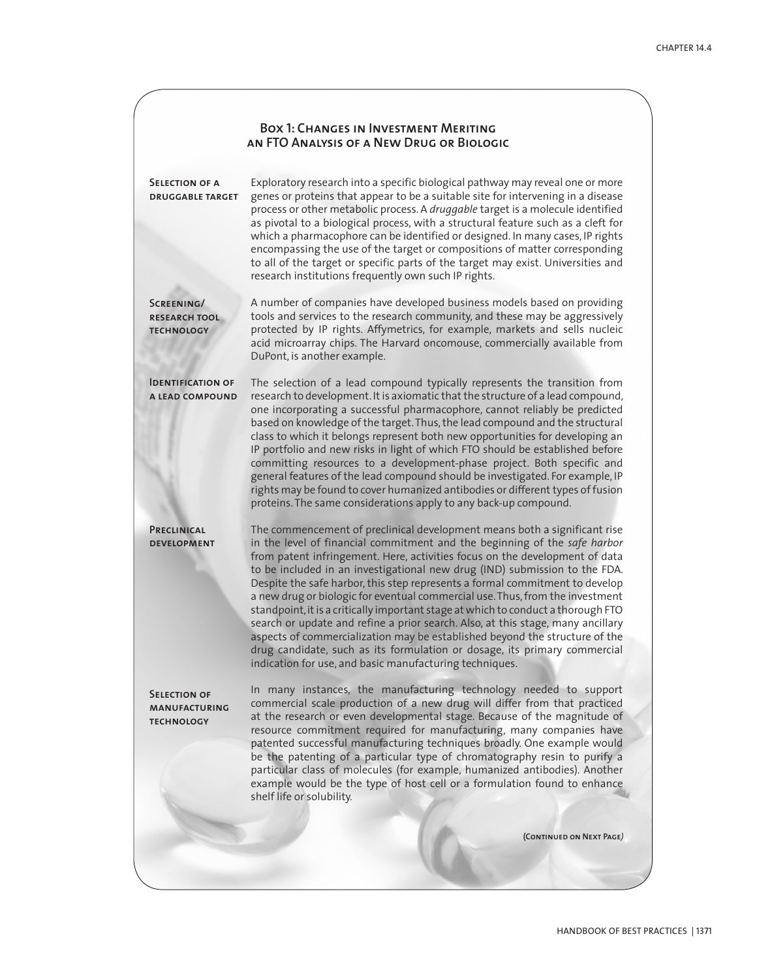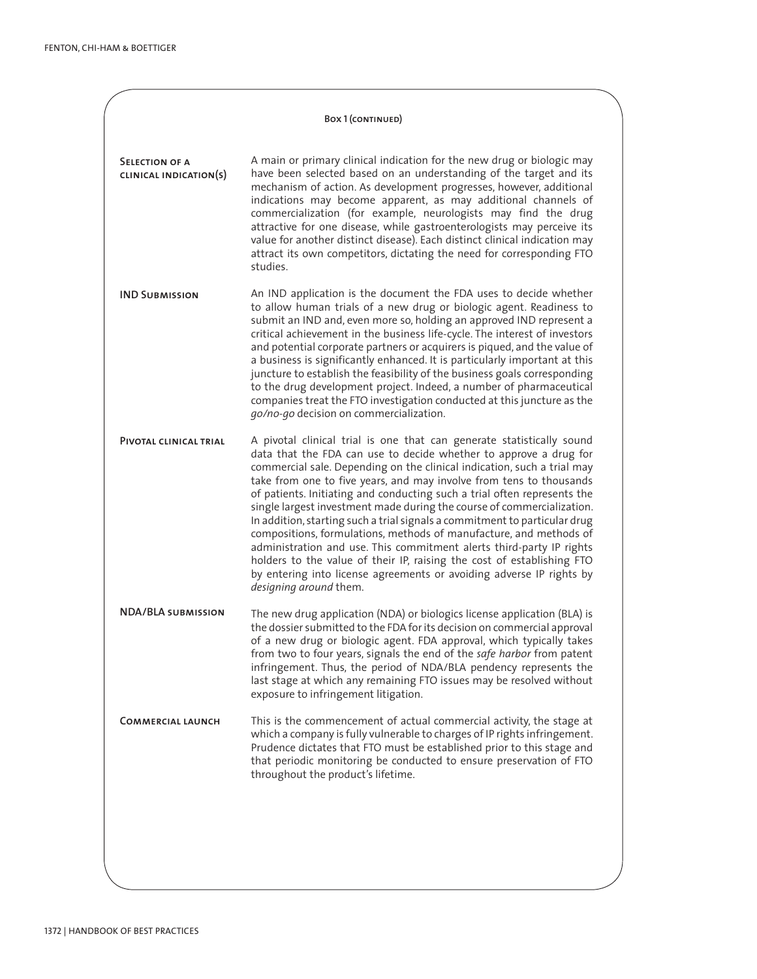#### Box 1 (CONTINUED)

**Selection of a clinical indication(s)** A main or primary clinical indication for the new drug or biologic may have been selected based on an understanding of the target and its mechanism of action. As development progresses, however, additional indications may become apparent, as may additional channels of commercialization (for example, neurologists may find the drug attractive for one disease, while gastroenterologists may perceive its value for another distinct disease). Each distinct clinical indication may attract its own competitors, dictating the need for corresponding FTO studies.

**IND Submission** An IND application is the document the FDA uses to decide whether to allow human trials of a new drug or biologic agent. Readiness to submit an IND and, even more so, holding an approved IND represent a critical achievement in the business life-cycle. The interest of investors and potential corporate partners or acquirers is piqued, and the value of a business is significantly enhanced. It is particularly important at this juncture to establish the feasibility of the business goals corresponding to the drug development project. Indeed, a number of pharmaceutical companies treat the FTO investigation conducted at this juncture as the *go/no-go* decision on commercialization.

**Pivotal clinical trial** A pivotal clinical trial is one that can generate statistically sound data that the FDA can use to decide whether to approve a drug for commercial sale. Depending on the clinical indication, such a trial may take from one to five years, and may involve from tens to thousands of patients. Initiating and conducting such a trial often represents the single largest investment made during the course of commercialization. In addition, starting such a trial signals a commitment to particular drug compositions, formulations, methods of manufacture, and methods of administration and use. This commitment alerts third-party IP rights holders to the value of their IP, raising the cost of establishing FTO by entering into license agreements or avoiding adverse IP rights by *designing around* them.

**NDA/BLA submission** The new drug application (NDA) or biologics license application (BLA) is the dossier submitted to the FDA for its decision on commercial approval of a new drug or biologic agent. FDA approval, which typically takes from two to four years, signals the end of the *safe harbor* from patent infringement. Thus, the period of NDA/BLA pendency represents the last stage at which any remaining FTO issues may be resolved without exposure to infringement litigation.

**Commercial launch** This is the commencement of actual commercial activity, the stage at which a company is fully vulnerable to charges of IP rights infringement. Prudence dictates that FTO must be established prior to this stage and that periodic monitoring be conducted to ensure preservation of FTO throughout the product's lifetime.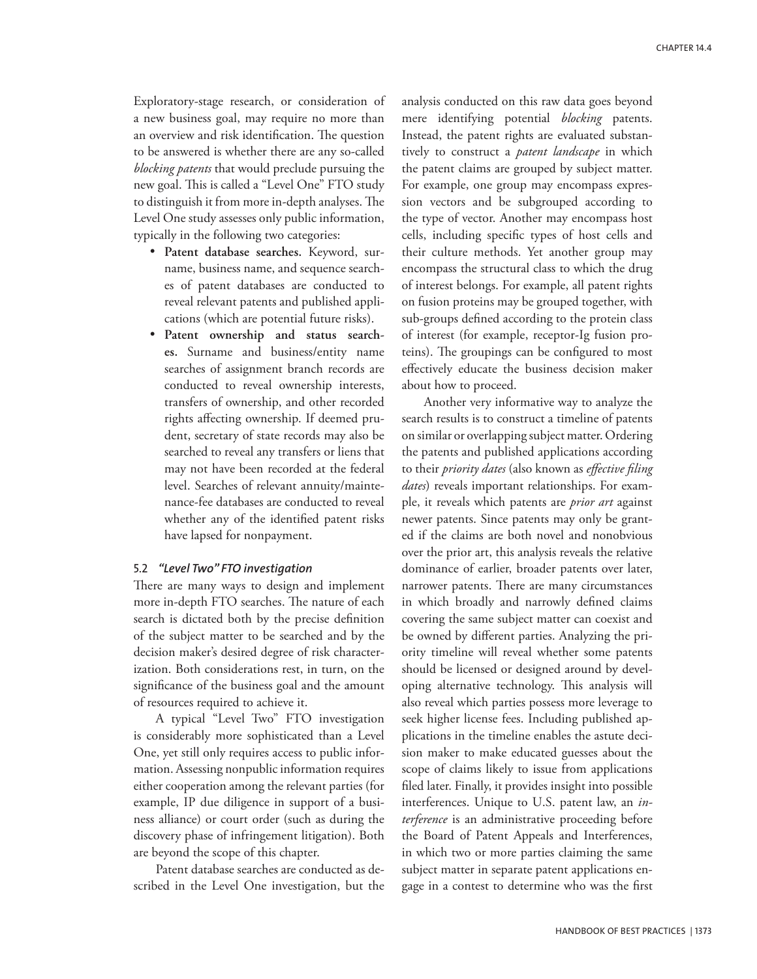Exploratory-stage research, or consideration of a new business goal, may require no more than an overview and risk identification. The question to be answered is whether there are any so-called *blocking patents* that would preclude pursuing the new goal. This is called a "Level One" FTO study to distinguish it from more in-depth analyses. The Level One study assesses only public information, typically in the following two categories:

- • **Patent database searches.** Keyword, surname, business name, and sequence searches of patent databases are conducted to reveal relevant patents and published applications (which are potential future risks).
- • **Patent ownership and status searches.** Surname and business/entity name searches of assignment branch records are conducted to reveal ownership interests, transfers of ownership, and other recorded rights affecting ownership. If deemed prudent, secretary of state records may also be searched to reveal any transfers or liens that may not have been recorded at the federal level. Searches of relevant annuity/maintenance-fee databases are conducted to reveal whether any of the identified patent risks have lapsed for nonpayment.

#### 5.2 *"Level Two" FTO investigation*

There are many ways to design and implement more in-depth FTO searches. The nature of each search is dictated both by the precise definition of the subject matter to be searched and by the decision maker's desired degree of risk characterization. Both considerations rest, in turn, on the significance of the business goal and the amount of resources required to achieve it.

A typical "Level Two" FTO investigation is considerably more sophisticated than a Level One, yet still only requires access to public information. Assessing nonpublic information requires either cooperation among the relevant parties (for example, IP due diligence in support of a business alliance) or court order (such as during the discovery phase of infringement litigation). Both are beyond the scope of this chapter.

Patent database searches are conducted as described in the Level One investigation, but the analysis conducted on this raw data goes beyond mere identifying potential *blocking* patents. Instead, the patent rights are evaluated substantively to construct a *patent landscape* in which the patent claims are grouped by subject matter. For example, one group may encompass expression vectors and be subgrouped according to the type of vector. Another may encompass host cells, including specific types of host cells and their culture methods. Yet another group may encompass the structural class to which the drug of interest belongs. For example, all patent rights on fusion proteins may be grouped together, with sub-groups defined according to the protein class of interest (for example, receptor-Ig fusion proteins). The groupings can be configured to most effectively educate the business decision maker about how to proceed.

Another very informative way to analyze the search results is to construct a timeline of patents on similar or overlapping subject matter. Ordering the patents and published applications according to their *priority dates* (also known as *effective filing dates*) reveals important relationships. For example, it reveals which patents are *prior art* against newer patents. Since patents may only be granted if the claims are both novel and nonobvious over the prior art, this analysis reveals the relative dominance of earlier, broader patents over later, narrower patents. There are many circumstances in which broadly and narrowly defined claims covering the same subject matter can coexist and be owned by different parties. Analyzing the priority timeline will reveal whether some patents should be licensed or designed around by developing alternative technology. This analysis will also reveal which parties possess more leverage to seek higher license fees. Including published applications in the timeline enables the astute decision maker to make educated guesses about the scope of claims likely to issue from applications filed later. Finally, it provides insight into possible interferences. Unique to U.S. patent law, an *interference* is an administrative proceeding before the Board of Patent Appeals and Interferences, in which two or more parties claiming the same subject matter in separate patent applications engage in a contest to determine who was the first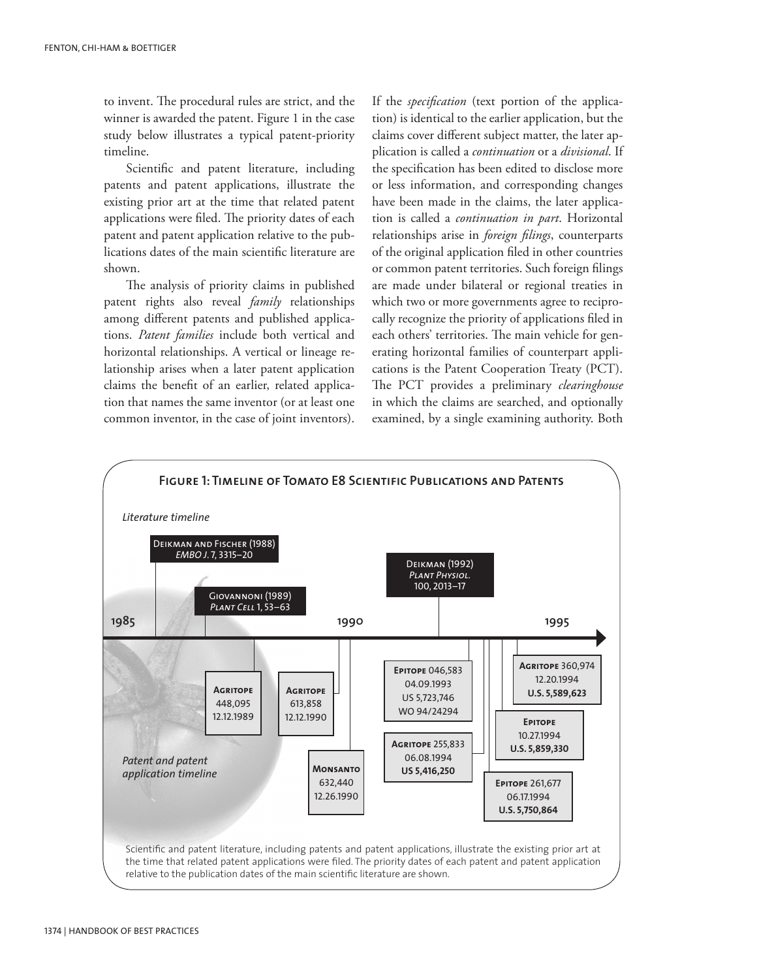to invent. The procedural rules are strict, and the winner is awarded the patent. Figure 1 in the case study below illustrates a typical patent-priority timeline.

Scientific and patent literature, including patents and patent applications, illustrate the existing prior art at the time that related patent applications were filed. The priority dates of each patent and patent application relative to the publications dates of the main scientific literature are shown.

The analysis of priority claims in published patent rights also reveal *family* relationships among different patents and published applications. *Patent families* include both vertical and horizontal relationships. A vertical or lineage relationship arises when a later patent application claims the benefit of an earlier, related application that names the same inventor (or at least one common inventor, in the case of joint inventors).

If the *specification* (text portion of the application) is identical to the earlier application, but the claims cover different subject matter, the later application is called a *continuation* or a *divisional*. If the specification has been edited to disclose more or less information, and corresponding changes have been made in the claims, the later application is called a *continuation in part*. Horizontal relationships arise in *foreign filings*, counterparts of the original application filed in other countries or common patent territories. Such foreign filings are made under bilateral or regional treaties in which two or more governments agree to reciprocally recognize the priority of applications filed in each others' territories. The main vehicle for generating horizontal families of counterpart applications is the Patent Cooperation Treaty (PCT). The PCT provides a preliminary *clearinghouse* in which the claims are searched, and optionally examined, by a single examining authority. Both

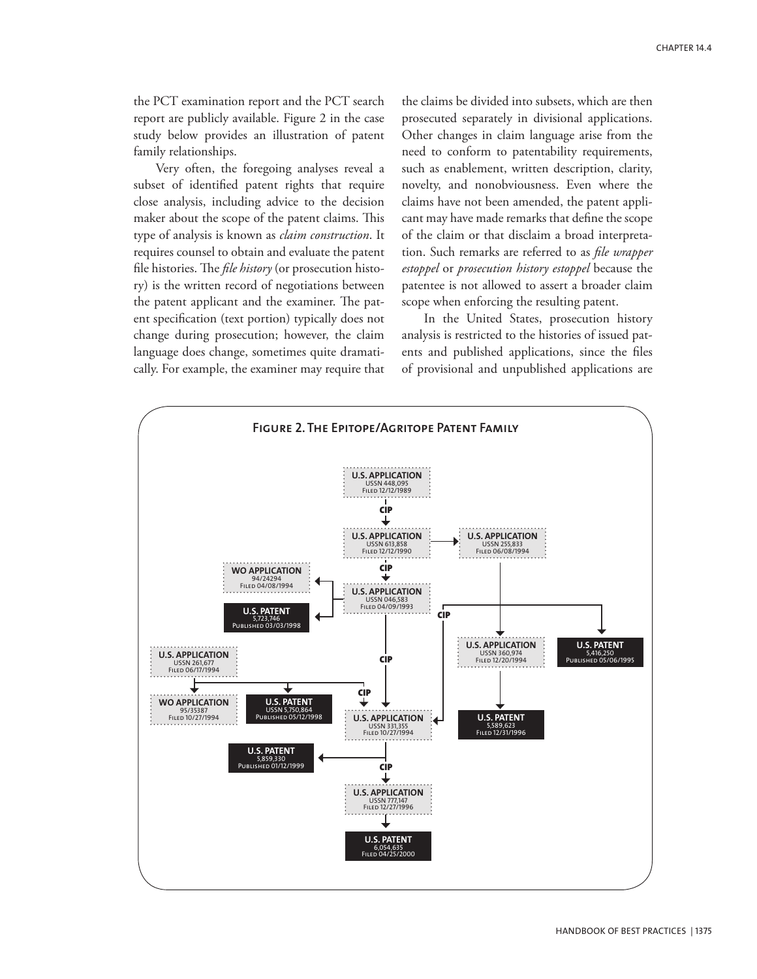the PCT examination report and the PCT search report are publicly available. Figure 2 in the case study below provides an illustration of patent family relationships.

Very often, the foregoing analyses reveal a subset of identified patent rights that require close analysis, including advice to the decision maker about the scope of the patent claims. This type of analysis is known as *claim construction*. It requires counsel to obtain and evaluate the patent file histories. The *file history* (or prosecution history) is the written record of negotiations between the patent applicant and the examiner. The patent specification (text portion) typically does not change during prosecution; however, the claim language does change, sometimes quite dramatically. For example, the examiner may require that the claims be divided into subsets, which are then prosecuted separately in divisional applications. Other changes in claim language arise from the need to conform to patentability requirements, such as enablement, written description, clarity, novelty, and nonobviousness. Even where the claims have not been amended, the patent applicant may have made remarks that define the scope of the claim or that disclaim a broad interpretation. Such remarks are referred to as *file wrapper estoppel* or *prosecution history estoppel* because the patentee is not allowed to assert a broader claim scope when enforcing the resulting patent.

In the United States, prosecution history analysis is restricted to the histories of issued patents and published applications, since the files of provisional and unpublished applications are

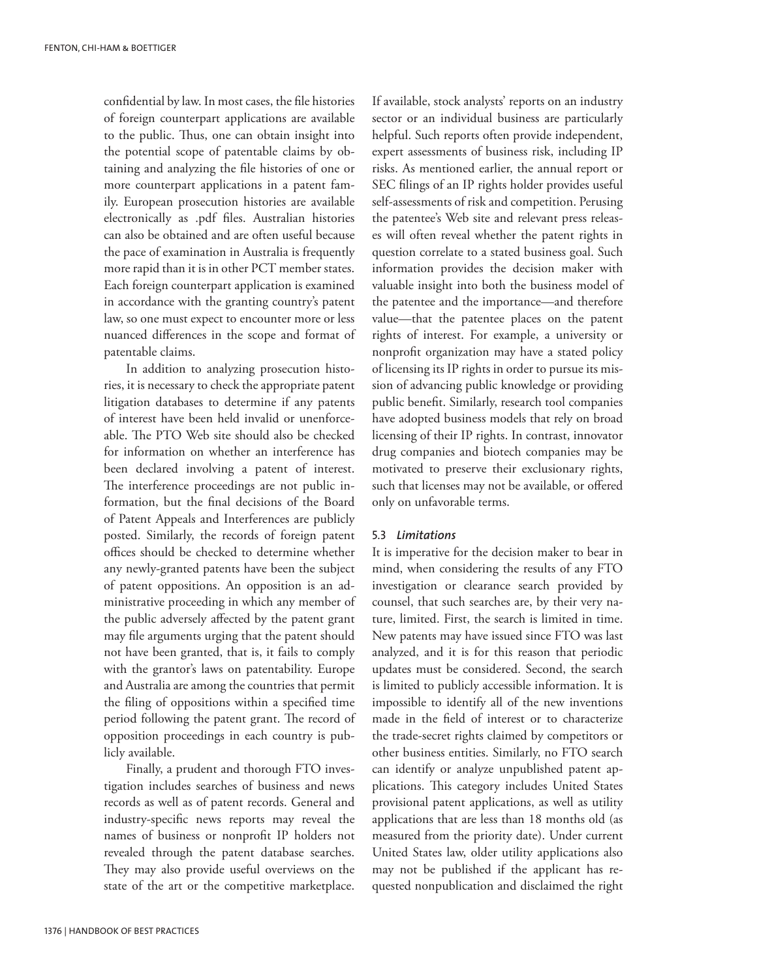confidential by law. In most cases, the file histories of foreign counterpart applications are available to the public. Thus, one can obtain insight into the potential scope of patentable claims by obtaining and analyzing the file histories of one or more counterpart applications in a patent family. European prosecution histories are available electronically as .pdf files. Australian histories can also be obtained and are often useful because the pace of examination in Australia is frequently more rapid than it is in other PCT member states. Each foreign counterpart application is examined in accordance with the granting country's patent law, so one must expect to encounter more or less nuanced differences in the scope and format of patentable claims.

In addition to analyzing prosecution histories, it is necessary to check the appropriate patent litigation databases to determine if any patents of interest have been held invalid or unenforceable. The PTO Web site should also be checked for information on whether an interference has been declared involving a patent of interest. The interference proceedings are not public information, but the final decisions of the Board of Patent Appeals and Interferences are publicly posted. Similarly, the records of foreign patent offices should be checked to determine whether any newly-granted patents have been the subject of patent oppositions. An opposition is an administrative proceeding in which any member of the public adversely affected by the patent grant may file arguments urging that the patent should not have been granted, that is, it fails to comply with the grantor's laws on patentability. Europe and Australia are among the countries that permit the filing of oppositions within a specified time period following the patent grant. The record of opposition proceedings in each country is publicly available.

Finally, a prudent and thorough FTO investigation includes searches of business and news records as well as of patent records. General and industry-specific news reports may reveal the names of business or nonprofit IP holders not revealed through the patent database searches. They may also provide useful overviews on the state of the art or the competitive marketplace. If available, stock analysts' reports on an industry sector or an individual business are particularly helpful. Such reports often provide independent, expert assessments of business risk, including IP risks. As mentioned earlier, the annual report or SEC filings of an IP rights holder provides useful self-assessments of risk and competition. Perusing the patentee's Web site and relevant press releases will often reveal whether the patent rights in question correlate to a stated business goal. Such information provides the decision maker with valuable insight into both the business model of the patentee and the importance—and therefore value—that the patentee places on the patent rights of interest. For example, a university or nonprofit organization may have a stated policy of licensing its IP rights in order to pursue its mission of advancing public knowledge or providing public benefit. Similarly, research tool companies have adopted business models that rely on broad licensing of their IP rights. In contrast, innovator drug companies and biotech companies may be motivated to preserve their exclusionary rights, such that licenses may not be available, or offered only on unfavorable terms.

#### 5.3 *Limitations*

It is imperative for the decision maker to bear in mind, when considering the results of any FTO investigation or clearance search provided by counsel, that such searches are, by their very nature, limited. First, the search is limited in time. New patents may have issued since FTO was last analyzed, and it is for this reason that periodic updates must be considered. Second, the search is limited to publicly accessible information. It is impossible to identify all of the new inventions made in the field of interest or to characterize the trade-secret rights claimed by competitors or other business entities. Similarly, no FTO search can identify or analyze unpublished patent applications. This category includes United States provisional patent applications, as well as utility applications that are less than 18 months old (as measured from the priority date). Under current United States law, older utility applications also may not be published if the applicant has requested nonpublication and disclaimed the right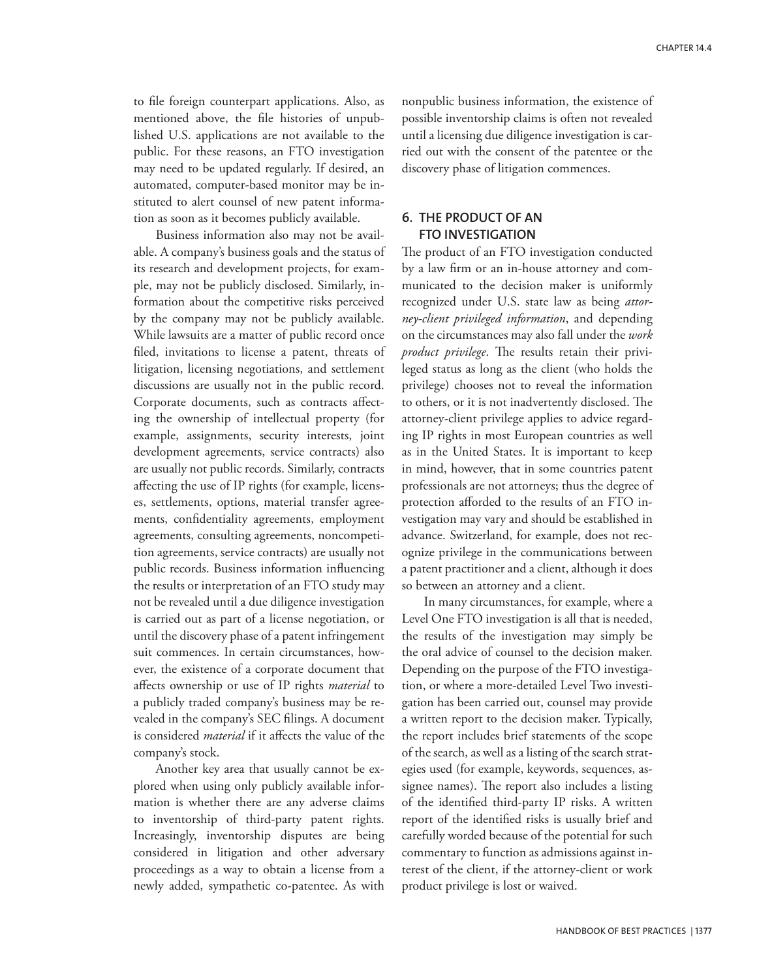to file foreign counterpart applications. Also, as mentioned above, the file histories of unpublished U.S. applications are not available to the public. For these reasons, an FTO investigation may need to be updated regularly. If desired, an automated, computer-based monitor may be instituted to alert counsel of new patent information as soon as it becomes publicly available.

Business information also may not be available. A company's business goals and the status of its research and development projects, for example, may not be publicly disclosed. Similarly, information about the competitive risks perceived by the company may not be publicly available. While lawsuits are a matter of public record once filed, invitations to license a patent, threats of litigation, licensing negotiations, and settlement discussions are usually not in the public record. Corporate documents, such as contracts affecting the ownership of intellectual property (for example, assignments, security interests, joint development agreements, service contracts) also are usually not public records. Similarly, contracts affecting the use of IP rights (for example, licenses, settlements, options, material transfer agreements, confidentiality agreements, employment agreements, consulting agreements, noncompetition agreements, service contracts) are usually not public records. Business information influencing the results or interpretation of an FTO study may not be revealed until a due diligence investigation is carried out as part of a license negotiation, or until the discovery phase of a patent infringement suit commences. In certain circumstances, however, the existence of a corporate document that affects ownership or use of IP rights *material* to a publicly traded company's business may be revealed in the company's SEC filings. A document is considered *material* if it affects the value of the company's stock.

Another key area that usually cannot be explored when using only publicly available information is whether there are any adverse claims to inventorship of third-party patent rights. Increasingly, inventorship disputes are being considered in litigation and other adversary proceedings as a way to obtain a license from a newly added, sympathetic co-patentee. As with nonpublic business information, the existence of possible inventorship claims is often not revealed until a licensing due diligence investigation is carried out with the consent of the patentee or the discovery phase of litigation commences.

# **6. The product of an FTO investigation**

The product of an FTO investigation conducted by a law firm or an in-house attorney and communicated to the decision maker is uniformly recognized under U.S. state law as being *attorney-client privileged information*, and depending on the circumstances may also fall under the *work product privilege*. The results retain their privileged status as long as the client (who holds the privilege) chooses not to reveal the information to others, or it is not inadvertently disclosed. The attorney-client privilege applies to advice regarding IP rights in most European countries as well as in the United States. It is important to keep in mind, however, that in some countries patent professionals are not attorneys; thus the degree of protection afforded to the results of an FTO investigation may vary and should be established in advance. Switzerland, for example, does not recognize privilege in the communications between a patent practitioner and a client, although it does so between an attorney and a client.

In many circumstances, for example, where a Level One FTO investigation is all that is needed, the results of the investigation may simply be the oral advice of counsel to the decision maker. Depending on the purpose of the FTO investigation, or where a more-detailed Level Two investigation has been carried out, counsel may provide a written report to the decision maker. Typically, the report includes brief statements of the scope of the search, as well as a listing of the search strategies used (for example, keywords, sequences, assignee names). The report also includes a listing of the identified third-party IP risks. A written report of the identified risks is usually brief and carefully worded because of the potential for such commentary to function as admissions against interest of the client, if the attorney-client or work product privilege is lost or waived.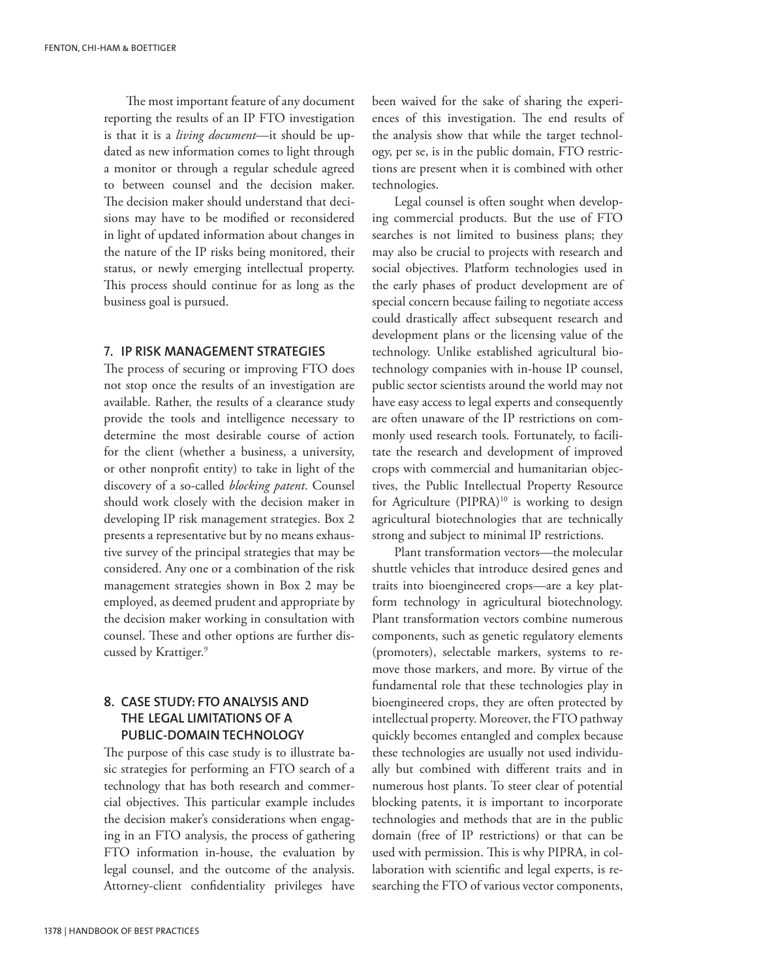The most important feature of any document reporting the results of an IP FTO investigation is that it is a *living document*—it should be updated as new information comes to light through a monitor or through a regular schedule agreed to between counsel and the decision maker. The decision maker should understand that decisions may have to be modified or reconsidered in light of updated information about changes in the nature of the IP risks being monitored, their status, or newly emerging intellectual property. This process should continue for as long as the business goal is pursued.

#### 7**. IP risk management strategies**

The process of securing or improving FTO does not stop once the results of an investigation are available. Rather, the results of a clearance study provide the tools and intelligence necessary to determine the most desirable course of action for the client (whether a business, a university, or other nonprofit entity) to take in light of the discovery of a so-called *blocking patent*. Counsel should work closely with the decision maker in developing IP risk management strategies. Box 2 presents a representative but by no means exhaustive survey of the principal strategies that may be considered. Any one or a combination of the risk management strategies shown in Box 2 may be employed, as deemed prudent and appropriate by the decision maker working in consultation with counsel. These and other options are further discussed by Krattiger.<sup>9</sup>

# **8. Case study: FTO analysis and the legal limitations of a public-domain technology**

The purpose of this case study is to illustrate basic strategies for performing an FTO search of a technology that has both research and commercial objectives. This particular example includes the decision maker's considerations when engaging in an FTO analysis, the process of gathering FTO information in-house, the evaluation by legal counsel, and the outcome of the analysis. Attorney-client confidentiality privileges have been waived for the sake of sharing the experiences of this investigation. The end results of the analysis show that while the target technology, per se, is in the public domain, FTO restrictions are present when it is combined with other technologies.

Legal counsel is often sought when developing commercial products. But the use of FTO searches is not limited to business plans; they may also be crucial to projects with research and social objectives. Platform technologies used in the early phases of product development are of special concern because failing to negotiate access could drastically affect subsequent research and development plans or the licensing value of the technology. Unlike established agricultural biotechnology companies with in-house IP counsel, public sector scientists around the world may not have easy access to legal experts and consequently are often unaware of the IP restrictions on commonly used research tools. Fortunately, to facilitate the research and development of improved crops with commercial and humanitarian objectives, the Public Intellectual Property Resource for Agriculture (PIPRA)<sup>10</sup> is working to design agricultural biotechnologies that are technically strong and subject to minimal IP restrictions.

Plant transformation vectors—the molecular shuttle vehicles that introduce desired genes and traits into bioengineered crops—are a key platform technology in agricultural biotechnology. Plant transformation vectors combine numerous components, such as genetic regulatory elements (promoters), selectable markers, systems to remove those markers, and more. By virtue of the fundamental role that these technologies play in bioengineered crops, they are often protected by intellectual property. Moreover, the FTO pathway quickly becomes entangled and complex because these technologies are usually not used individually but combined with different traits and in numerous host plants. To steer clear of potential blocking patents, it is important to incorporate technologies and methods that are in the public domain (free of IP restrictions) or that can be used with permission. This is why PIPRA, in collaboration with scientific and legal experts, is researching the FTO of various vector components,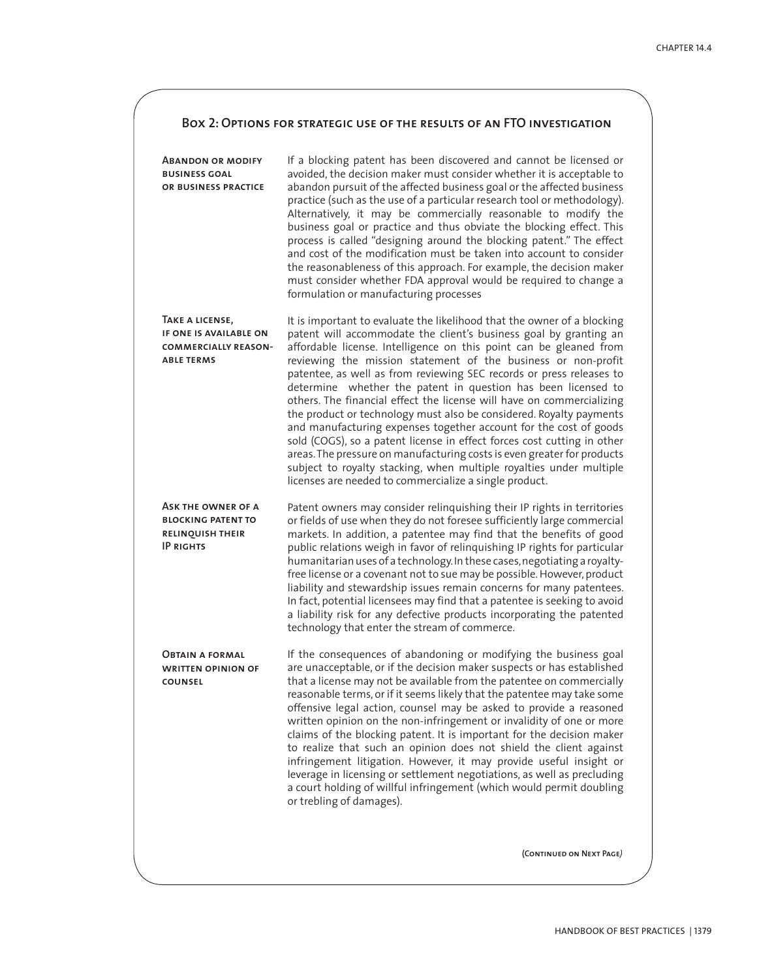# **Box 2: Options for strategic use of the results of an FTO investigation**

| <b>ABANDON OR MODIFY</b><br><b>BUSINESS GOAL</b><br>OR BUSINESS PRACTICE                       | If a blocking patent has been discovered and cannot be licensed or<br>avoided, the decision maker must consider whether it is acceptable to<br>abandon pursuit of the affected business goal or the affected business<br>practice (such as the use of a particular research tool or methodology).<br>Alternatively, it may be commercially reasonable to modify the<br>business goal or practice and thus obviate the blocking effect. This<br>process is called "designing around the blocking patent." The effect<br>and cost of the modification must be taken into account to consider<br>the reasonableness of this approach. For example, the decision maker<br>must consider whether FDA approval would be required to change a<br>formulation or manufacturing processes                                                                                                                                                         |
|------------------------------------------------------------------------------------------------|------------------------------------------------------------------------------------------------------------------------------------------------------------------------------------------------------------------------------------------------------------------------------------------------------------------------------------------------------------------------------------------------------------------------------------------------------------------------------------------------------------------------------------------------------------------------------------------------------------------------------------------------------------------------------------------------------------------------------------------------------------------------------------------------------------------------------------------------------------------------------------------------------------------------------------------|
| TAKE A LICENSE,<br>IF ONE IS AVAILABLE ON<br><b>COMMERCIALLY REASON-</b><br><b>ABLE TERMS</b>  | It is important to evaluate the likelihood that the owner of a blocking<br>patent will accommodate the client's business goal by granting an<br>affordable license. Intelligence on this point can be gleaned from<br>reviewing the mission statement of the business or non-profit<br>patentee, as well as from reviewing SEC records or press releases to<br>determine whether the patent in question has been licensed to<br>others. The financial effect the license will have on commercializing<br>the product or technology must also be considered. Royalty payments<br>and manufacturing expenses together account for the cost of goods<br>sold (COGS), so a patent license in effect forces cost cutting in other<br>areas. The pressure on manufacturing costs is even greater for products<br>subject to royalty stacking, when multiple royalties under multiple<br>licenses are needed to commercialize a single product. |
| ASK THE OWNER OF A<br><b>BLOCKING PATENT TO</b><br><b>RELINQUISH THEIR</b><br><b>IP RIGHTS</b> | Patent owners may consider relinquishing their IP rights in territories<br>or fields of use when they do not foresee sufficiently large commercial<br>markets. In addition, a patentee may find that the benefits of good<br>public relations weigh in favor of relinquishing IP rights for particular<br>humanitarian uses of a technology. In these cases, negotiating a royalty-<br>free license or a covenant not to sue may be possible. However, product<br>liability and stewardship issues remain concerns for many patentees.<br>In fact, potential licensees may find that a patentee is seeking to avoid<br>a liability risk for any defective products incorporating the patented<br>technology that enter the stream of commerce.                                                                                                                                                                                           |
| <b>OBTAIN A FORMAL</b><br><b>WRITTEN OPINION OF</b><br><b>COUNSEL</b>                          | If the consequences of abandoning or modifying the business goal<br>are unacceptable, or if the decision maker suspects or has established<br>that a license may not be available from the patentee on commercially<br>reasonable terms, or if it seems likely that the patentee may take some<br>offensive legal action, counsel may be asked to provide a reasoned<br>written opinion on the non-infringement or invalidity of one or more<br>claims of the blocking patent. It is important for the decision maker<br>to realize that such an opinion does not shield the client against<br>infringement litigation. However, it may provide useful insight or<br>leverage in licensing or settlement negotiations, as well as precluding<br>a court holding of willful infringement (which would permit doubling<br>or trebling of damages).                                                                                         |
|                                                                                                | (CONTINUED ON NEXT PAGE)                                                                                                                                                                                                                                                                                                                                                                                                                                                                                                                                                                                                                                                                                                                                                                                                                                                                                                                 |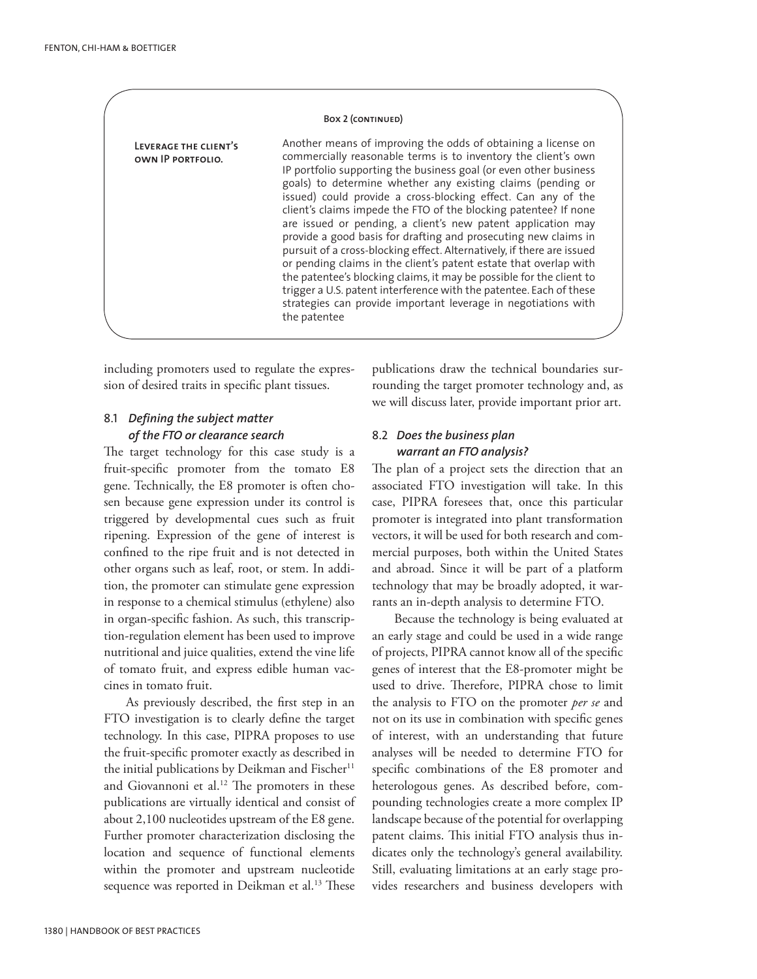#### Box 2 (CONTINUED)

**Leverage the client's own IP portfolio.**

Another means of improving the odds of obtaining a license on commercially reasonable terms is to inventory the client's own IP portfolio supporting the business goal (or even other business goals) to determine whether any existing claims (pending or issued) could provide a cross-blocking effect. Can any of the client's claims impede the FTO of the blocking patentee? If none are issued or pending, a client's new patent application may provide a good basis for drafting and prosecuting new claims in pursuit of a cross-blocking effect. Alternatively, if there are issued or pending claims in the client's patent estate that overlap with the patentee's blocking claims, it may be possible for the client to trigger a U.S. patent interference with the patentee. Each of these strategies can provide important leverage in negotiations with the patentee

including promoters used to regulate the expression of desired traits in specific plant tissues.

# 8.1 *Defining the subject matter of the FTO or clearance search*

The target technology for this case study is a fruit-specific promoter from the tomato E8 gene. Technically, the E8 promoter is often chosen because gene expression under its control is triggered by developmental cues such as fruit ripening. Expression of the gene of interest is confined to the ripe fruit and is not detected in other organs such as leaf, root, or stem. In addition, the promoter can stimulate gene expression in response to a chemical stimulus (ethylene) also in organ-specific fashion. As such, this transcription-regulation element has been used to improve nutritional and juice qualities, extend the vine life of tomato fruit, and express edible human vaccines in tomato fruit.

As previously described, the first step in an FTO investigation is to clearly define the target technology. In this case, PIPRA proposes to use the fruit-specific promoter exactly as described in the initial publications by Deikman and Fischer $11$ and Giovannoni et al.<sup>12</sup> The promoters in these publications are virtually identical and consist of about 2,100 nucleotides upstream of the E8 gene. Further promoter characterization disclosing the location and sequence of functional elements within the promoter and upstream nucleotide sequence was reported in Deikman et al.<sup>13</sup> These

publications draw the technical boundaries surrounding the target promoter technology and, as we will discuss later, provide important prior art.

# 8.2 *Does the business plan warrant an FTO analysis?*

The plan of a project sets the direction that an associated FTO investigation will take. In this case, PIPRA foresees that, once this particular promoter is integrated into plant transformation vectors, it will be used for both research and commercial purposes, both within the United States and abroad. Since it will be part of a platform technology that may be broadly adopted, it warrants an in-depth analysis to determine FTO.

Because the technology is being evaluated at an early stage and could be used in a wide range of projects, PIPRA cannot know all of the specific genes of interest that the E8-promoter might be used to drive. Therefore, PIPRA chose to limit the analysis to FTO on the promoter *per se* and not on its use in combination with specific genes of interest, with an understanding that future analyses will be needed to determine FTO for specific combinations of the E8 promoter and heterologous genes. As described before, compounding technologies create a more complex IP landscape because of the potential for overlapping patent claims. This initial FTO analysis thus indicates only the technology's general availability. Still, evaluating limitations at an early stage provides researchers and business developers with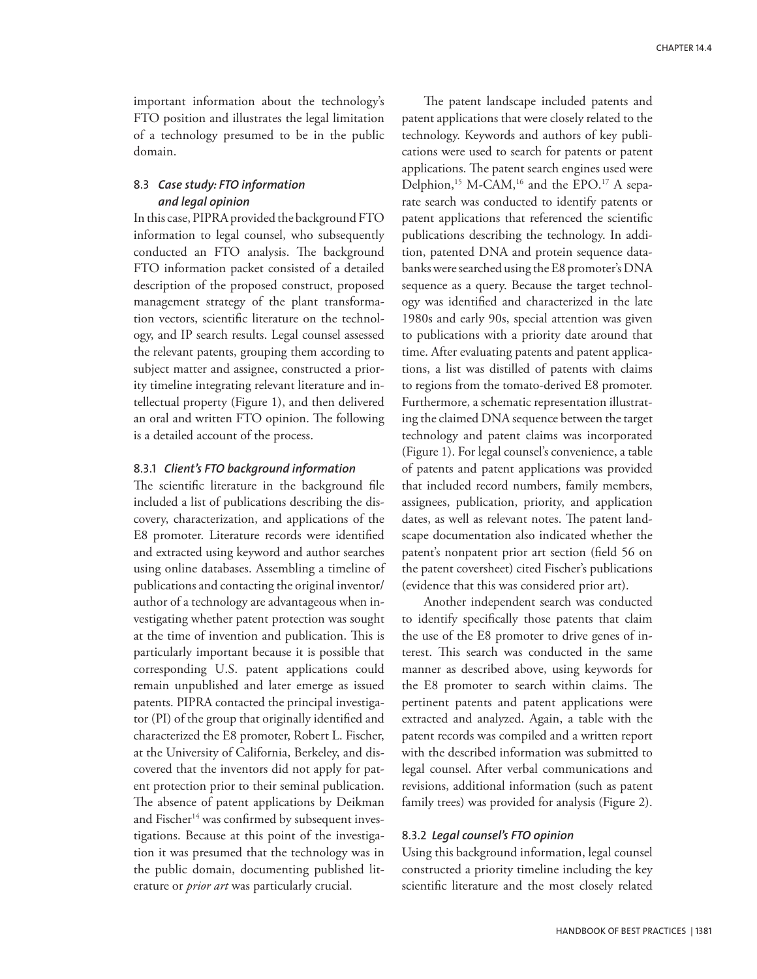important information about the technology's FTO position and illustrates the legal limitation of a technology presumed to be in the public domain.

## 8.3 *Case study: FTO information and legal opinion*

In this case, PIPRA provided the background FTO information to legal counsel, who subsequently conducted an FTO analysis. The background FTO information packet consisted of a detailed description of the proposed construct, proposed management strategy of the plant transformation vectors, scientific literature on the technology, and IP search results. Legal counsel assessed the relevant patents, grouping them according to subject matter and assignee, constructed a priority timeline integrating relevant literature and intellectual property (Figure 1), and then delivered an oral and written FTO opinion. The following is a detailed account of the process.

#### 8.3.1 *Client's FTO background information*

The scientific literature in the background file included a list of publications describing the discovery, characterization, and applications of the E8 promoter. Literature records were identified and extracted using keyword and author searches using online databases. Assembling a timeline of publications and contacting the original inventor/ author of a technology are advantageous when investigating whether patent protection was sought at the time of invention and publication. This is particularly important because it is possible that corresponding U.S. patent applications could remain unpublished and later emerge as issued patents. PIPRA contacted the principal investigator (PI) of the group that originally identified and characterized the E8 promoter, Robert L. Fischer, at the University of California, Berkeley, and discovered that the inventors did not apply for patent protection prior to their seminal publication. The absence of patent applications by Deikman and Fischer<sup>14</sup> was confirmed by subsequent investigations. Because at this point of the investigation it was presumed that the technology was in the public domain, documenting published literature or *prior art* was particularly crucial.

The patent landscape included patents and patent applications that were closely related to the technology. Keywords and authors of key publications were used to search for patents or patent applications. The patent search engines used were Delphion,<sup>15</sup> M-CAM,<sup>16</sup> and the EPO.<sup>17</sup> A separate search was conducted to identify patents or patent applications that referenced the scientific publications describing the technology. In addition, patented DNA and protein sequence databanks were searched using the E8 promoter's DNA sequence as a query. Because the target technology was identified and characterized in the late 1980s and early 90s, special attention was given to publications with a priority date around that time. After evaluating patents and patent applications, a list was distilled of patents with claims to regions from the tomato-derived E8 promoter. Furthermore, a schematic representation illustrating the claimed DNA sequence between the target technology and patent claims was incorporated (Figure 1). For legal counsel's convenience, a table of patents and patent applications was provided that included record numbers, family members, assignees, publication, priority, and application dates, as well as relevant notes. The patent landscape documentation also indicated whether the patent's nonpatent prior art section (field 56 on the patent coversheet) cited Fischer's publications (evidence that this was considered prior art).

Another independent search was conducted to identify specifically those patents that claim the use of the E8 promoter to drive genes of interest. This search was conducted in the same manner as described above, using keywords for the E8 promoter to search within claims. The pertinent patents and patent applications were extracted and analyzed. Again, a table with the patent records was compiled and a written report with the described information was submitted to legal counsel. After verbal communications and revisions, additional information (such as patent family trees) was provided for analysis (Figure 2).

# 8.3.2 *Legal counsel's FTO opinion*

Using this background information, legal counsel constructed a priority timeline including the key scientific literature and the most closely related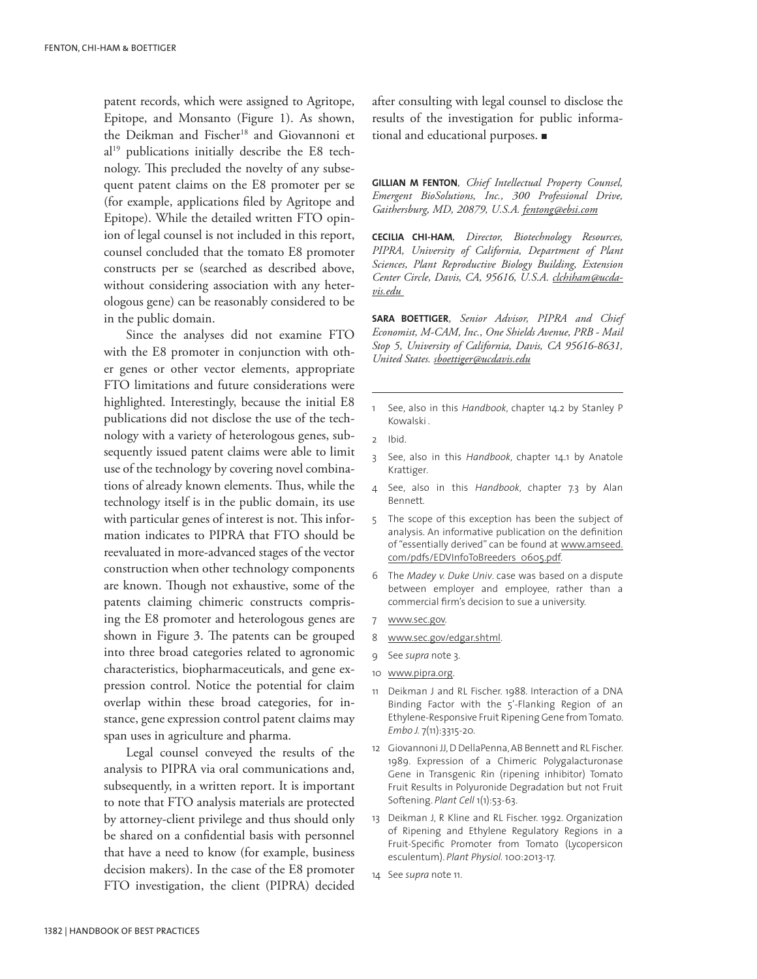patent records, which were assigned to Agritope, Epitope, and Monsanto (Figure 1). As shown, the Deikman and Fischer<sup>18</sup> and Giovannoni et al19 publications initially describe the E8 technology. This precluded the novelty of any subsequent patent claims on the E8 promoter per se (for example, applications filed by Agritope and Epitope). While the detailed written FTO opinion of legal counsel is not included in this report, counsel concluded that the tomato E8 promoter constructs per se (searched as described above, without considering association with any heterologous gene) can be reasonably considered to be in the public domain.

Since the analyses did not examine FTO with the E8 promoter in conjunction with other genes or other vector elements, appropriate FTO limitations and future considerations were highlighted. Interestingly, because the initial E8 publications did not disclose the use of the technology with a variety of heterologous genes, subsequently issued patent claims were able to limit use of the technology by covering novel combinations of already known elements. Thus, while the technology itself is in the public domain, its use with particular genes of interest is not. This information indicates to PIPRA that FTO should be reevaluated in more-advanced stages of the vector construction when other technology components are known. Though not exhaustive, some of the patents claiming chimeric constructs comprising the E8 promoter and heterologous genes are shown in Figure 3. The patents can be grouped into three broad categories related to agronomic characteristics, biopharmaceuticals, and gene expression control. Notice the potential for claim overlap within these broad categories, for instance, gene expression control patent claims may span uses in agriculture and pharma.

Legal counsel conveyed the results of the analysis to PIPRA via oral communications and, subsequently, in a written report. It is important to note that FTO analysis materials are protected by attorney-client privilege and thus should only be shared on a confidential basis with personnel that have a need to know (for example, business decision makers). In the case of the E8 promoter FTO investigation, the client (PIPRA) decided after consulting with legal counsel to disclose the results of the investigation for public informational and educational purposes.  $\blacksquare$ 

**GILLIAN M FENTON***, Chief Intellectual Property Counsel, Emergent BioSolutions, Inc., 300 Professional Drive, Gaithersburg, MD, 20879, U.S.A. fentong@ebsi.com*

**CECILIA CHI-HAM***, Director, Biotechnology Resources, PIPRA, University of California, Department of Plant Sciences, Plant Reproductive Biology Building, Extension Center Circle, Davis, CA, 95616, U.S.A. clchiham@ucdavis.edu*

**SARA BOETTIGER***, Senior Advisor, PIPRA and Chief Economist, M-CAM, Inc., One Shields Avenue, PRB - Mail Stop 5, University of California, Davis, CA 95616-8631, United States. sboettiger@ucdavis.edu*

- 1 See, also in this *Handbook*, chapter 14.2 by Stanley P Kowalski *.*
- 2 Ibid.
- 3 See, also in this *Handbook*, chapter 14.1 by Anatole Krattiger*.*
- 4 See, also in this *Handbook*, chapter 7.3 by Alan Bennett*.*
- 5 The scope of this exception has been the subject of analysis. An informative publication on the definition of "essentially derived" can be found at www.amseed. com/pdfs/EDVInfoToBreeders\_0605.pdf.
- 6 The *Madey v. Duke Univ*. case was based on a dispute between employer and employee, rather than a commercial firm's decision to sue a university.
- 7 www.sec.gov.
- 8 www.sec.gov/edgar.shtml.
- 9 See *supra* note 3.
- 10 www.pipra.org.
- 11 Deikman J and RL Fischer. 1988. Interaction of a DNA Binding Factor with the 5'-Flanking Region of an Ethylene-Responsive Fruit Ripening Gene from Tomato. *Embo J.* 7(11):3315-20.
- 12 Giovannoni JJ, D DellaPenna, AB Bennett and RL Fischer. 1989. Expression of a Chimeric Polygalacturonase Gene in Transgenic Rin (ripening inhibitor) Tomato Fruit Results in Polyuronide Degradation but not Fruit Softening. *Plant Cell* 1(1):53-63.
- 13 Deikman J, R Kline and RL Fischer. 1992. Organization of Ripening and Ethylene Regulatory Regions in a Fruit-Specific Promoter from Tomato (Lycopersicon esculentum). *Plant Physiol.* 100:2013-17.
- 14 See *supra* note 11.